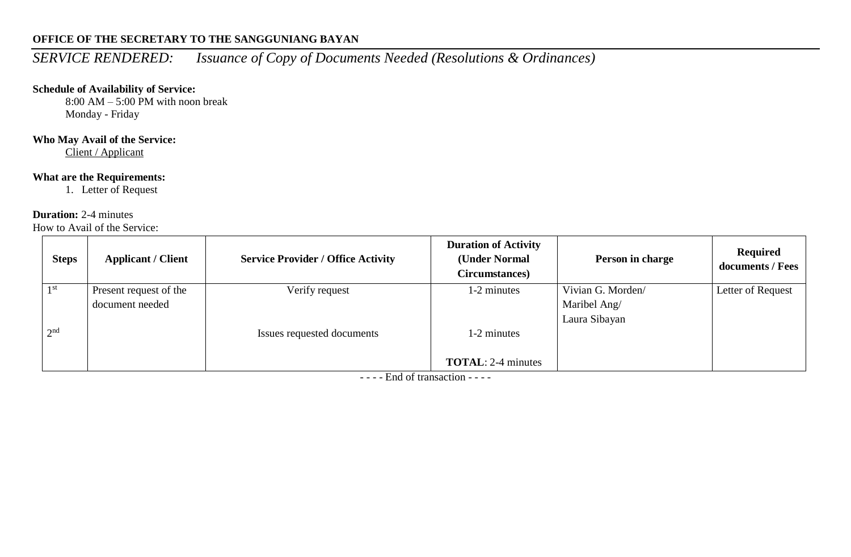# **OFFICE OF THE SECRETARY TO THE SANGGUNIANG BAYAN**

# *SERVICE RENDERED: Issuance of Copy of Documents Needed (Resolutions & Ordinances)*

## **Schedule of Availability of Service:**

 $8:00$  AM – 5:00 PM with noon break Monday - Friday

## **Who May Avail of the Service:**

Client / Applicant

## **What are the Requirements:**

1. Letter of Request

#### **Duration:** 2-4 minutes

How to Avail of the Service:

| <b>Steps</b>    | <b>Applicant / Client</b> | <b>Service Provider / Office Activity</b> | <b>Duration of Activity</b><br>(Under Normal<br>Circumstances) | Person in charge  | <b>Required</b><br>documents / Fees |
|-----------------|---------------------------|-------------------------------------------|----------------------------------------------------------------|-------------------|-------------------------------------|
| 1 <sup>st</sup> | Present request of the    | Verify request                            | 1-2 minutes                                                    | Vivian G. Morden/ | Letter of Request                   |
|                 | document needed           |                                           |                                                                | Maribel Ang/      |                                     |
|                 |                           |                                           |                                                                | Laura Sibayan     |                                     |
| 2 <sub>nd</sub> |                           | Issues requested documents                | 1-2 minutes                                                    |                   |                                     |
|                 |                           |                                           |                                                                |                   |                                     |
|                 |                           |                                           | <b>TOTAL:</b> 2-4 minutes                                      |                   |                                     |

- - - - End of transaction - - - -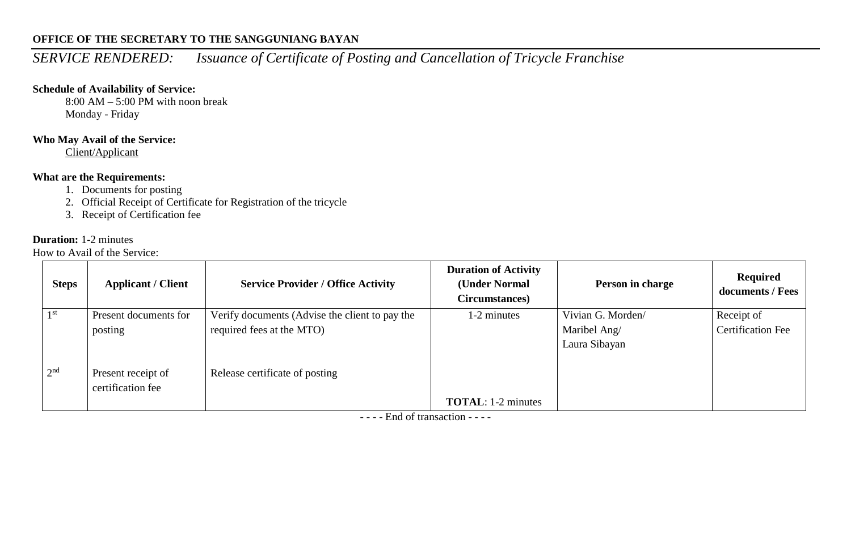# **OFFICE OF THE SECRETARY TO THE SANGGUNIANG BAYAN**

# *SERVICE RENDERED: Issuance of Certificate of Posting and Cancellation of Tricycle Franchise*

#### **Schedule of Availability of Service:**

8:00 AM – 5:00 PM with noon break Monday - Friday

#### **Who May Avail of the Service:**

Client/Applicant

## **What are the Requirements:**

- 1. Documents for posting
- 2. Official Receipt of Certificate for Registration of the tricycle
- 3. Receipt of Certification fee

#### **Duration:** 1-2 minutes

How to Avail of the Service:

| <b>Steps</b>    | <b>Applicant / Client</b> | <b>Service Provider / Office Activity</b>      | <b>Duration of Activity</b><br>(Under Normal<br>Circumstances) | Person in charge  | Required<br>documents / Fees |
|-----------------|---------------------------|------------------------------------------------|----------------------------------------------------------------|-------------------|------------------------------|
| 1 <sup>st</sup> | Present documents for     | Verify documents (Advise the client to pay the | 1-2 minutes                                                    | Vivian G. Morden/ | Receipt of                   |
|                 | posting                   | required fees at the MTO)                      |                                                                | Maribel Ang/      | <b>Certification Fee</b>     |
|                 |                           |                                                |                                                                | Laura Sibayan     |                              |
| 2 <sup>nd</sup> | Present receipt of        | Release certificate of posting                 |                                                                |                   |                              |
|                 | certification fee         |                                                |                                                                |                   |                              |
|                 |                           |                                                | <b>TOTAL:</b> 1-2 minutes                                      |                   |                              |

- - - - End of transaction - - - -